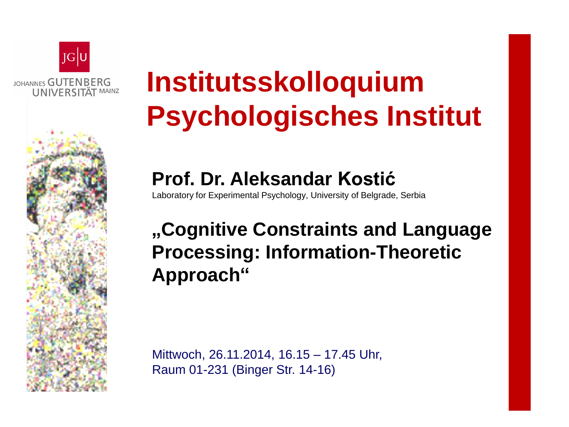

# **Institutsskolloquium Psychologisches Institut**

#### **Prof. Dr. Aleksandar Kostić**

Laboratory for Experimental Psychology, University of Belgrade, Serbia

### **"Cognitive Constraints and Language Processing: Information-Theoretic Approach"**

Mittwoch, 26.11.2014, 16.15 – 17.45 Uhr, Raum 01-231 (Binger Str. 14-16)